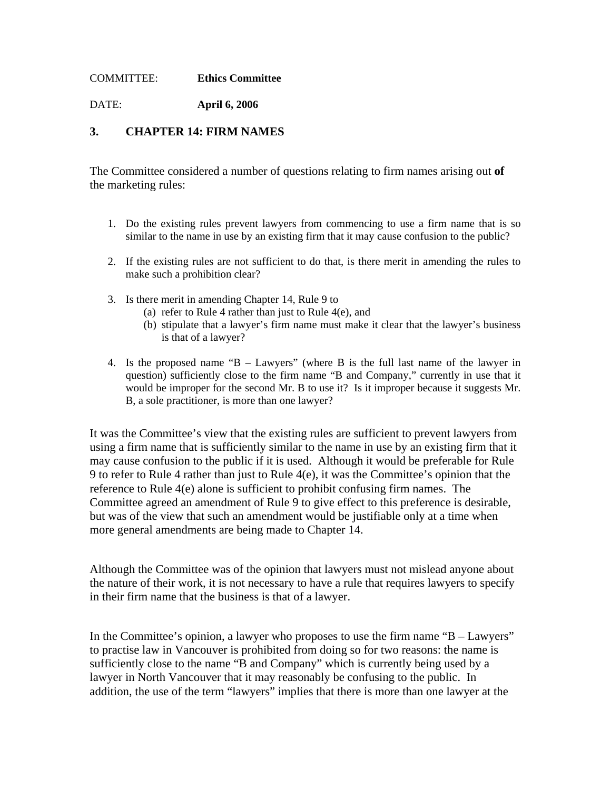## COMMITTEE: **Ethics Committee**

DATE: **April 6, 2006** 

## **3. CHAPTER 14: FIRM NAMES**

The Committee considered a number of questions relating to firm names arising out **of**  the marketing rules:

- 1. Do the existing rules prevent lawyers from commencing to use a firm name that is so similar to the name in use by an existing firm that it may cause confusion to the public?
- 2. If the existing rules are not sufficient to do that, is there merit in amending the rules to make such a prohibition clear?
- 3. Is there merit in amending Chapter 14, Rule 9 to
	- (a) refer to Rule 4 rather than just to Rule 4(e), and
	- (b) stipulate that a lawyer's firm name must make it clear that the lawyer's business is that of a lawyer?
- 4. Is the proposed name "B Lawyers" (where B is the full last name of the lawyer in question) sufficiently close to the firm name "B and Company," currently in use that it would be improper for the second Mr. B to use it? Is it improper because it suggests Mr. B, a sole practitioner, is more than one lawyer?

It was the Committee's view that the existing rules are sufficient to prevent lawyers from using a firm name that is sufficiently similar to the name in use by an existing firm that it may cause confusion to the public if it is used. Although it would be preferable for Rule 9 to refer to Rule 4 rather than just to Rule 4(e), it was the Committee's opinion that the reference to Rule 4(e) alone is sufficient to prohibit confusing firm names. The Committee agreed an amendment of Rule 9 to give effect to this preference is desirable, but was of the view that such an amendment would be justifiable only at a time when more general amendments are being made to Chapter 14.

Although the Committee was of the opinion that lawyers must not mislead anyone about the nature of their work, it is not necessary to have a rule that requires lawyers to specify in their firm name that the business is that of a lawyer.

In the Committee's opinion, a lawyer who proposes to use the firm name "B – Lawyers" to practise law in Vancouver is prohibited from doing so for two reasons: the name is sufficiently close to the name "B and Company" which is currently being used by a lawyer in North Vancouver that it may reasonably be confusing to the public. In addition, the use of the term "lawyers" implies that there is more than one lawyer at the